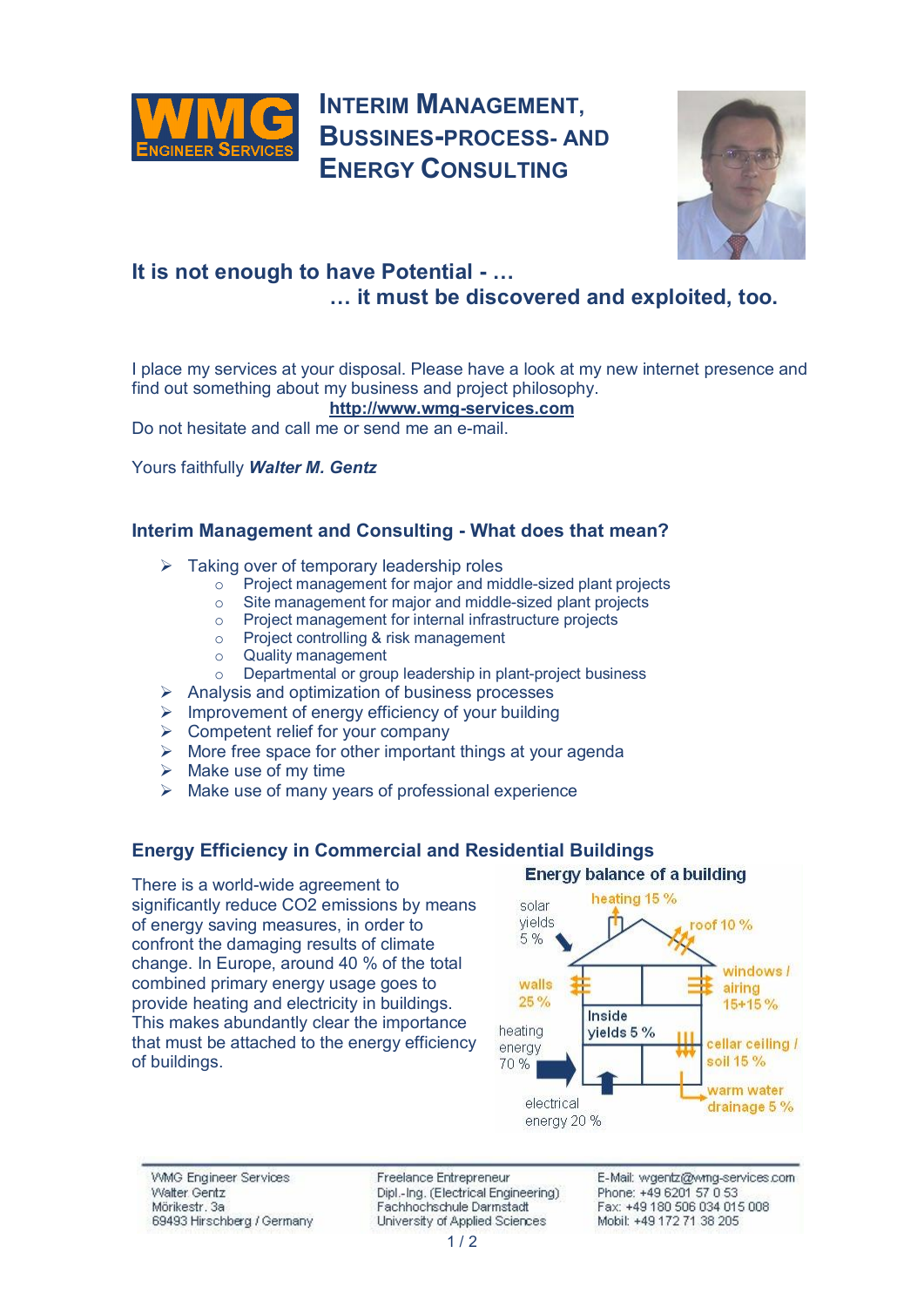

# **INTERIM MANAGEMENT, BUSSINES-PROCESS- AND ENERGY CONSULTING**



## **It is not enough to have Potential - … … it must be discovered and exploited, too.**

I place my services at your disposal. Please have a look at my new internet presence and find out something about my business and project philosophy.

**http://www.wmg-services.com**

Do not hesitate and call [me or send me an e-mail.](http://www.wmg-services.com) 

Yours faithfully *Walter M. Gentz*

#### **Interim Management and Consulting - What does that mean?**

- $\triangleright$  Taking over of temporary leadership roles
	- o Project management for major and middle-sized plant projects<br>
	Site management for major and middle-sized plant projects
	- Site management for major and middle-sized plant projects
	- o Project management for internal infrastructure projects
	- o Project controlling & risk management
	- o Quality management
	- o Departmental or group leadership in plant-project business
- $\triangleright$  Analysis and optimization of business processes
- $\triangleright$  Improvement of energy efficiency of your building
- $\triangleright$  Competent relief for your company
- $\triangleright$  More free space for other important things at your agenda
- $\triangleright$  Make use of my time
- $\triangleright$  Make use of many vears of professional experience

#### **Energy Efficiency in Commercial and Residential Buildings**

There is a world-wide agreement to significantly reduce CO2 emissions by means of energy saving measures, in order to confront the damaging results of climate change. In Europe, around 40 % of the total combined primary energy usage goes to provide heating and electricity in buildings. This makes abundantly clear the importance that must be attached to the energy efficiency of buildings.

#### **Energy balance of a building**



**WMG Engineer Services** Walter Gentz Mörikestr. 3a 69493 Hirschberg / Germany Freelance Entrepreneur Dipl.-Inq. (Electrical Engineering) Fachhochschule Darmstadt University of Applied Sciences

E-Mail: wgentz/@wmg-services.com Phone: +49 6201 57 0 53 Fax: +49 180 506 034 015 008 Mobil: +49 172 71 38 205